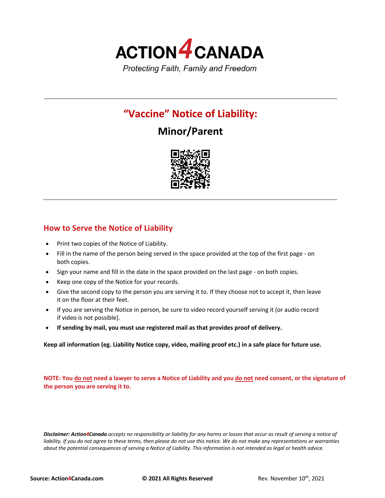

## **"Vaccine" Notice of Liability:**

# **Minor/Parent**



### **How to Serve the Notice of Liability**

- Print two copies of the Notice of Liability.
- Fill in the name of the person being served in the space provided at the top of the first page on both copies.
- Sign your name and fill in the date in the space provided on the last page on both copies.
- Keep one copy of the Notice for your records.
- Give the second copy to the person you are serving it to. If they choose not to accept it, then leave it on the floor at their feet.
- If you are serving the Notice in person, be sure to video record yourself serving it (or audio record if video is not possible).
- **If sending by mail, you must use registered mail as that provides proof of delivery.**

**Keep all information (eg. Liability Notice copy, video, mailing proof etc.) in a safe place for future use.**

**NOTE: You do not need a lawyer to serve a Notice of Liability and you do not need consent, or the signature of the person you are serving it to.**

*Disclaimer: Action4Canada accepts no responsibility or liability for any harms or losses that occur as result of serving a notice of*  liability. If you do not agree to these terms, then please do not use this notice. We do not make any representations or warranties *about the potential consequences of serving a Notice of Liability. This information is not intended as legal or health advice.*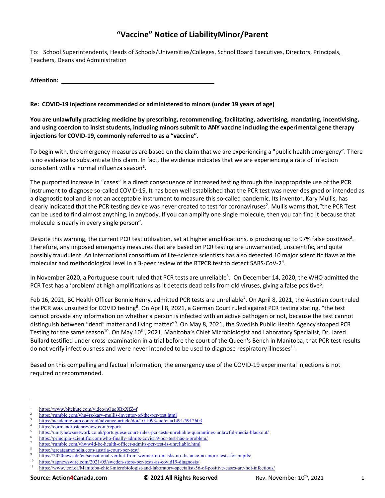## **"Vaccine" Notice of LiabilityMinor/Parent**

To: School Superintendents, Heads of Schools/Universities/Colleges, School Board Executives, Directors, Principals, Teachers, Deans and Administration

**Attention:** 

### **Re: COVID-19 injections recommended or administered to minors (under 19 years of age)**

**You are unlawfully practicing medicine by prescribing, recommending, facilitating, advertising, mandating, incentivising, and using coercion to insist students, including minors submit to ANY vaccine including the experimental gene therapy injections for COVID-19, commonly referred to as a "vaccine".**

To begin with, the emergency measures are based on the claim that we are experiencing a "public health emergency". There is no evidence to substantiate this claim. In fact, the evidence indicates that we are experiencing a rate of infection consistent with a normal influenza season $<sup>1</sup>$ .</sup>

The purported increase in "cases" is a direct consequence of increased testing through the inappropriate use of the PCR instrument to diagnose so-called COVID-19. It has been well established that the PCR test was never designed or intended as a diagnostic tool and is not an acceptable instrument to measure this so-called pandemic. Its inventor, Kary Mullis, has clearly indicated that the PCR testing device was never created to test for coronaviruses<sup>2</sup>. Mullis warns that, "the PCR Test can be used to find almost anything, in anybody. If you can amplify one single molecule, then you can find it because that molecule is nearly in every single person".

Despite this warning, the current PCR test utilization, set at higher amplifications, is producing up to 97% false positives<sup>3</sup>. Therefore, any imposed emergency measures that are based on PCR testing are unwarranted, unscientific, and quite possibly fraudulent. An international consortium of life-science scientists has also detected 10 major scientific flaws at the molecular and methodological level in a 3-peer review of the RTPCR test to detect SARS-CoV-2<sup>4</sup>.

In November 2020, a Portuguese court ruled that PCR tests are unreliable<sup>5</sup>. On December 14, 2020, the WHO admitted the PCR Test has a 'problem' at high amplifications as it detects dead cells from old viruses, giving a false positive<sup>6</sup>.

Feb 16, 2021, BC Health Officer Bonnie Henry, admitted PCR tests are unreliable<sup>7</sup>. On April 8, 2021, the Austrian court ruled the PCR was unsuited for COVID testing<sup>8</sup>. On April 8, 2021, a German Court ruled against PCR testing stating, "the test cannot provide any information on whether a person is infected with an active pathogen or not, because the test cannot distinguish between "dead" matter and living matter"<sup>9</sup>. On May 8, 2021, the Swedish Public Health Agency stopped PCR Testing for the same reason<sup>10</sup>. On May 10<sup>th</sup>, 2021, Manitoba's Chief Microbiologist and Laboratory Specialist, Dr. Jared Bullard testified under cross-examination in a trial before the court of the Queen's Bench in Manitoba, that PCR test results do not verify infectiousness and were never intended to be used to diagnose respiratory illnesses<sup>11</sup>.

Based on this compelling and factual information, the emergency use of the COVID-19 experimental injections is not required or recommended.

https://www.bitchute.com/video/nQgq0BxXfZ4f

<sup>2</sup> https://rumble.com/vhu4rz-kary-mullis-inventor-of-the-pcr-test.html

https://academic.oup.com/cid/advance-article/doi/10.1093/cid/ciaa1491/5912603

<sup>4</sup> https://cormandrostenreview.com/report/

<sup>5</sup> https://unitynewsnetwork.co.uk/portuguese-court-rules-pcr-tests-unreliable-quarantines-unlawful-media-blackout/

<sup>6</sup> https://principia-scientific.com/who-finally-admits-covid19-pcr-test-has-a-problem/

https://rumble.com/vhww4d-bc-health-officer-admits-pcr-test-is-unreliable.html

https://greatgameindia.com/austria-court-pcr-test/

https://2020news.de/en/sensational-verdict-from-weimar-no-masks-no-distance-no-more-tests-for-pupils/

 $\frac{10}{11}$  https://tapnewswire.com/2021/05/sweden-stops-pcr-tests-as-covid19-diagnosis/<br> $\frac{11}{11}$  https://www.jecf.co/Manitoba.chief.microbiologist.and laboratory.goojolist.56

<sup>11</sup> https://www.jccf.ca/Manitoba-chief-microbiologist-and-laboratory-specialist-56-of-positive-cases-are-not-infectious/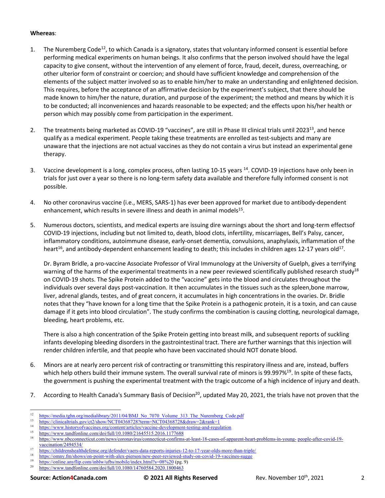#### **Whereas**:

- 1. The Nuremberg Code<sup>12</sup>, to which Canada is a signatory, states that voluntary informed consent is essential before performing medical experiments on human beings. It also confirms that the person involved should have the legal capacity to give consent, without the intervention of any element of force, fraud, deceit, duress, overreaching, or other ulterior form of constraint or coercion; and should have sufficient knowledge and comprehension of the elements of the subject matter involved so as to enable him/her to make an understanding and enlightened decision. This requires, before the acceptance of an affirmative decision by the experiment's subject, that there should be made known to him/her the nature, duration, and purpose of the experiment; the method and means by which it is to be conducted; all inconveniences and hazards reasonable to be expected; and the effects upon his/her health or person which may possibly come from participation in the experiment.
- 2. The treatments being marketed as COVID-19 "vaccines", are still in Phase III clinical trials until 2023<sup>13</sup>, and hence qualify as a medical experiment. People taking these treatments are enrolled as test-subjects and many are unaware that the injections are not actual vaccines as they do not contain a virus but instead an experimental gene therapy.
- 3. Vaccine development is a long, complex process, often lasting 10-15 years <sup>14</sup>. COVID-19 injections have only been in trials for just over a year so there is no long-term safety data available and therefore fully informed consent is not possible.
- 4. No other coronavirus vaccine (i.e., MERS, SARS-1) has ever been approved for market due to antibody-dependent enhancement, which results in severe illness and death in animal models<sup>15</sup>.
- 5. Numerous doctors, scientists, and medical experts are issuing dire warnings about the short and long-term effectsof COVID-19 injections, including but not limited to, death, blood clots, infertility, miscarriages, Bell's Palsy, cancer, inflammatory conditions, autoimmune disease, early-onset dementia, convulsions, anaphylaxis, inflammation of the heart<sup>16</sup>, and antibody-dependent enhancement leading to death; this includes in children ages 12-17 years old<sup>17</sup>.

Dr. Byram Bridle, a pro-vaccine Associate Professor of Viral Immunology at the University of Guelph, gives a terrifying warning of the harms of the experimental treatments in a new peer reviewed scientifically published research study<sup>18</sup> on COVID-19 shots. The Spike Protein added to the "vaccine" gets into the blood and circulates throughout the individuals over several days post-vaccination. It then accumulates in the tissues such as the spleen,bone marrow, liver, adrenal glands, testes, and of great concern, it accumulates in high concentrations in the ovaries. Dr. Bridle notes that they "have known for a long time that the Spike Protein is a pathogenic protein, it is a toxin, and can cause damage if it gets into blood circulation". The study confirms the combination is causing clotting, neurological damage, bleeding, heart problems, etc.

There is also a high concentration of the Spike Protein getting into breast milk, and subsequent reports of suckling infants developing bleeding disorders in the gastrointestinal tract. There are further warnings that this injection will render children infertile, and that people who have been vaccinated should NOT donate blood.

- 6. Minors are at nearly zero percent risk of contracting or transmitting this respiratory illness and are, instead, buffers which help others build their immune system. The overall survival rate of minors is 99.997%<sup>19</sup>. In spite of these facts, the government is pushing the experimental treatment with the tragic outcome of a high incidence of injury and death.
- 7. According to Health Canada's Summary Basis of Decision<sup>20</sup>, updated May 20, 2021, the trials have not proven that the

- $13$  https://clinicaltrials.gov/ct2/show/NCT04368728?term=NCT04368728&draw=2&rank=1
- <sup>14</sup> https://www.historyofvaccines.org/content/articles/vaccine-development-testing-and-regulation<br><sup>15</sup> https://www.historyofvaccines.org/content/articles/vaccine-development-testing-and-regulation
- <sup>15</sup> https://www.tandfonline.com/doi/full/10.1080/21645515.2016.1177688

<sup>20</sup> https://www.tandfonline.com/doi/full/10.1080/14760584.2020.1800463

<sup>&</sup>lt;sup>12</sup> https://media.tghn.org/medialibrary/2011/04/BMJ\_No\_7070\_Volume\_313\_The\_Nuremberg\_Code.pdf<br><sup>13</sup> https://olivice.html

https://www.nbcconnecticut.com/news/coronavirus/connecticut-confirms-at-least-18-cases-of-apparent-heart-problems-in-young- people-after-covid-19vaccination/2494534/

<sup>&</sup>lt;sup>17</sup> https://childrenshealthdefense.org/defender/vaers-data-reports-injuries-12-to-17-year-olds-more-than-triple/<br><sup>18</sup> https://omny.fm/chowe/on\_point\_with\_elex\_pierson/pay\_peer\_reviewed\_stydy\_on\_covid\_19\_veccines\_sugge\_

<sup>&</sup>lt;sup>18</sup> https://omny.fm/shows/on-point-with-alex-pierson/new-peer-reviewed-study-on-covid-19-vaccines-sugge<br><sup>19</sup> https://galia.com/lin.com/inklude/tackinghisland.html?p=08%20 (e.g. 0)

<sup>&</sup>lt;sup>19</sup> https://online.anyflip.com/inblw/ufbs/mobile/index.html?s=08%20 (pg. 9)<br>
https://www.topdfonline.com/doi/full/10.1080/14760584.2020.1800463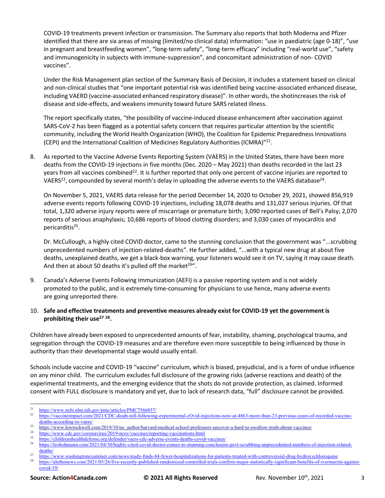COVID-19 treatments prevent infection or transmission. The Summary also reports that both Moderna and Pfizer identified that there are six areas of missing (limited/no clinical data) information: "use in paediatric (age 0-18)", "use in pregnant and breastfeeding women", "long-term safety", "long-term efficacy" including "real-world use", "safety and immunogenicity in subjects with immune-suppression", and concomitant administration of non- COVID vaccines".

Under the Risk Management plan section of the Summary Basis of Decision, it includes a statement based on clinical and non-clinical studies that "one important potential risk was identified being vaccine-associated enhanced disease, including VAERD (vaccine-associated enhanced respiratory disease)". In other words, the shotincreases the risk of disease and side-effects, and weakens immunity toward future SARS related illness.

The report specifically states, "the possibility of vaccine-induced disease enhancement after vaccination against SARS-CoV-2 has been flagged as a potential safety concern that requires particular attention by the scientific community, including the World Health Organization (WHO), the Coalition for Epidemic Preparedness Innovations (CEPI) and the International Coalition of Medicines Regulatory Authorities (ICMRA)"<sup>21</sup>.

8. As reported to the Vaccine Adverse Events Reporting System (VAERS) in the United States, there have been more deaths from the COVID-19 injections in five months (Dec. 2020 – May 2021) than deaths recorded in the last 23 years from all vaccines combined<sup>22</sup>. It is further reported that only one percent of vaccine injuries are reported to VAERS<sup>23</sup>, compounded by several month's delay in uploading the adverse events to the VAERS database<sup>24</sup>.

On November 5, 2021, VAERS data release for the period December 14, 2020 to October 29, 2021, showed 856,919 adverse events reports following COVID-19 injections, including 18,078 deaths and 131,027 serious injuries. Of that total, 1,320 adverse injury reports were of miscarriage or premature birth; 3,090 reported cases of Bell's Palsy; 2,070 reports of serious anaphylaxis; 10,686 reports of blood clotting disorders; and 3,030 cases of myocarditis and pericarditis25.

Dr. McCullough, a highly cited COVID doctor, came to the stunning conclusion that the government was "...scrubbing unprecedented numbers of injection-related-deaths". He further added, "...with a typical new drug at about five deaths, unexplained deaths, we get a black-box warning, your listeners would see it on TV, saying it may cause death. And then at about 50 deaths it's pulled off the market<sup>26"</sup>.

- 9. Canada's Adverse Events Following Immunization (AEFI) is a passive reporting system and is not widely promoted to the public, and is extremely time-consuming for physicians to use hence, many adverse events are going unreported there.
- 10. **Safe and effective treatments and preventive measures already exist for COVID-19 yet the government is prohibiting their use27 28.**

Children have already been exposed to unprecedented amounts of fear, instability, shaming, psychological trauma, and segregation through the COVID-19 measures and are therefore even more susceptible to being influenced by those in authority than their developmental stage would usually entail.

Schools include vaccine and COVID-19 "vaccine" curriculum, which is biased, prejudicial, and is a form of undue influence on any minor child. The curriculum excludes full disclosure of the growing risks (adverse reactions and death) of the experimental treatments, and the emerging evidence that the shots do not provide protection, as claimed. Informed consent with FULL disclosure is mandatory and yet, due to lack of research data, "full" disclosure cannot be provided.

<sup>&</sup>lt;sup>21</sup> https://www.ncbi.nlm.nih.gov/pmc/articles/PMC7566857/<br><sup>22</sup> https://www.ncbi.nlm.nih.gov/pmc/articles/PMC7566857/

<sup>22</sup> https://vaccineimpact.com/2021/CDC-death-toll-following-experimental-cOvid-injections-now-at-4863-more-than-23-previous-years-of-recorded-vaccinedeaths-according-to-vaers/

 $\frac{23}{\text{https://www.lewrockwell.com/2019/10/no\_author/harvard-mediated-school-professors-uncover-a-hard-to-swallow-truth-about-vaccines/24}}$ 

<sup>&</sup>lt;sup>24</sup> https://www.cdc.gov/coronavirus/2019-ncov/vaccines/reporting-vaccinations.html<br>25 https://thildrenational.html

 $^{25}$  https://childrenshealthdefense.org/defender/vaers-cdc-adverse-events-deaths-covid-vaccines/<br> $^{26}$  https://leekehman.org/001/04/20/highly-aited equid-deater-events-deaths-covid-vaccines/

<sup>26</sup> https://leohohmann.com/2021/04/30/highly-cited-covid-doctor-comes-to-stunning-conclusion-govt-scrubbing-unprecedented-numbers-of-injection-relateddeaths/

<sup>&</sup>lt;sup>27</sup> https://www.washingtonexaminer.com/news/study-finds-84-fewer-hospitalizations-for-patients-treated-with-controversial-drug-hydroxychloroquine<br><sup>28</sup> https://www.washingtonexaminer.com/news/study-finds-84-fewer-hospitali <sup>28</sup> https://alethonews.com/2021/05/26/five-recently-published-randomized-controlled-trials-confirm-major-statistically-significant-benefits-of-ivermectin-againstcovid-19/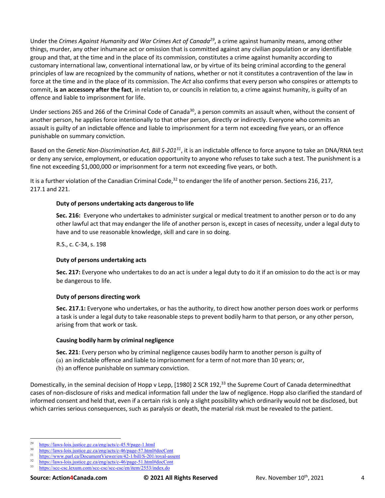Under the *Crimes Against Humanity and War Crimes Act of Canada29*, a crime against humanity means, among other things, murder, any other inhumane act or omission that is committed against any civilian population or any identifiable group and that, at the time and in the place of its commission, constitutes a crime against humanity according to customary international law, conventional international law, or by virtue of its being criminal according to the general principles of law are recognized by the community of nations, whether or not it constitutes a contravention of the law in force at the time and in the place of its commission. The *Act* also confirms that every person who conspires or attempts to commit, **is an accessory after the fact**, in relation to, or councils in relation to, a crime against humanity, is guilty of an offence and liable to imprisonment for life.

Under sections 265 and 266 of the Criminal Code of Canada<sup>30</sup>, a person commits an assault when, without the consent of another person, he applies force intentionally to that other person, directly or indirectly. Everyone who commits an assault is guilty of an indictable offence and liable to imprisonment for a term not exceeding five years, or an offence punishable on summary conviction.

Based on the *Genetic Non-Discrimination Act, Bill S-20131*, it is an indictable offence to force anyone to take an DNA/RNA test or deny any service, employment, or education opportunity to anyone who refuses to take such a test. The punishment is a fine not exceeding \$1,000,000 or imprisonment for a term not exceeding five years, or both.

It is a further violation of the Canadian Criminal Code, $32$  to endanger the life of another person. Sections 216, 217, 217.1 and 221.

#### **Duty of persons undertaking acts dangerous to life**

**Sec. 216:** Everyone who undertakes to administer surgical or medical treatment to another person or to do any other lawful act that may endanger the life of another person is, except in cases of necessity, under a legal duty to have and to use reasonable knowledge, skill and care in so doing.

R.S., c. C-34, s. 198

#### **Duty of persons undertaking acts**

**Sec. 217:** Everyone who undertakes to do an act is under a legal duty to do it if an omission to do the act is or may be dangerous to life.

#### **Duty of persons directing work**

**Sec. 217.1:** Everyone who undertakes, or has the authority, to direct how another person does work or performs a task is under a legal duty to take reasonable steps to prevent bodily harm to that person, or any other person, arising from that work or task.

#### **Causing bodily harm by criminal negligence**

**Sec. 221**: Every person who by criminal negligence causes bodily harm to another person is guilty of (a) an indictable offence and liable to imprisonment for a term of not more than 10 years; or, (b) an offence punishable on summary conviction.

Domestically, in the seminal decision of Hopp v Lepp, [1980] 2 SCR 192,<sup>33</sup> the Supreme Court of Canada determinedthat cases of non-disclosure of risks and medical information fall under the law of negligence. Hopp also clarified the standard of informed consent and held that, even if a certain risk is only a slight possibility which ordinarily would not be disclosed, but which carries serious consequences, such as paralysis or death, the material risk must be revealed to the patient.

<sup>&</sup>lt;sup>29</sup> https://laws-lois.justice.gc.ca/eng/acts/c-45.9/page-1.html<br> $\frac{1}{2}$ 

 $\frac{30}{11}$  https://laws-lois.justice.gc.ca/eng/acts/c-46/page-57.html#docCont<br> $\frac{31}{11}$  https://www.page.go/DocumentViewer/en/42.1/html/S-201/payel.go

 $\frac{31}{2}$  https://www.parl.ca/DocumentViewer/en/42-1/bill/S-201/royal-assent

 $\frac{32}{13}$  https://laws-lois.justice.gc.ca/eng/acts/c-46/page-51.html#docCont<br> $\frac{33}{13}$  https://gcg.gcg.layum.gom/scg.gcg/scg.gcg/an/itam/2553/index.do

<sup>33</sup> https://scc-csc.lexum.com/scc-csc/scc-csc/en/item/2553/index.do